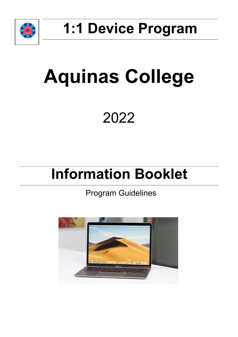

## **1:1 Device Program**

# **Aquinas College**

### 2022

### **Information Booklet**

### Program Guidelines

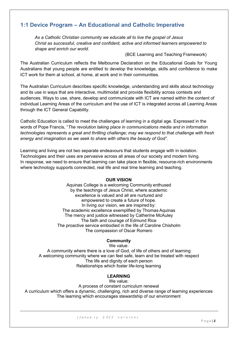#### **1:1 Device Program – An Educational and Catholic Imperative**

*As a Catholic Christian community we educate all to live the gospel of Jesus Christ as successful, creative and confident, active and informed learners empowered to shape and enrich our world.*

(BCE Learning and Teaching Framework)

The Australian Curriculum reflects the Melbourne Declaration on the Educational Goals for Young Australians that young people are entitled to develop the knowledge, skills and confidence to make ICT work for them at school, at home, at work and in their communities.

The Australian Curriculum describes specific knowledge, understanding and skills about technology and its use in ways that are interactive, multimodal and provide flexibility across contexts and audiences. Ways to use, share, develop and communicate with ICT are named within the content of individual Learning Areas of the curriculum and the use of ICT is integrated across all Learning Areas through the ICT General Capability.

Catholic Education is called to meet the challenges of learning in a digital age. Expressed in the words of Pope Francis, "*The revolution taking place in communications media and in information technologies represents a great and thrilling challenge; may we respond to that challenge with fresh energy and imagination as we seek to share with others the beauty of God".*

Learning and living are not two separate endeavours that students engage with in isolation. Technologies and their uses are pervasive across all areas of our society and modern living. In response, we need to ensure that learning can take place in flexible, resource-rich environments where technology supports connected, real life and real time learning and teaching.

#### **OUR VISION**

Aquinas College is a welcoming Community enthused by the teachings of Jesus Christ, where academic excellence is valued and all are nurtured and empowered to create a future of hope. In living our vision, we are inspired by: The academic excellence exemplified by Thomas Aquinas The mercy and justice witnessed by Catherine McAuley The faith and courage of Edmund Rice The proactive service embodied in the life of Caroline Chisholm The compassion of Oscar Romero

#### **Community**

We value: A community where there is a love of God, of life of others and of learning A welcoming community where we can feel safe, learn and be treated with respect The life and dignity of each person Relationships which foster life-long learning

#### **LEARNING**

We value:

A process of constant curriculum renewal A curriculum which offers a dynamic, challenging, rich and diverse range of learning experiences The learning which encourages stewardship of our environment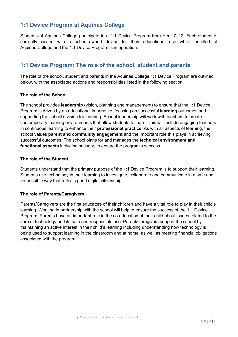#### **1:1 Device Program at Aquinas College**

Students at Aquinas College participate in a 1:1 Device Program from Year 7–12. Each student is currently issued with a school-owned device for their educational use whilst enrolled at Aquinas College and the 1:1 Device Program is in operation.

#### **1:1 Device Program: The role of the school, student and parents**

The role of the school, student and parents in the Aquinas College 1:1 Device Program are outlined below, with the associated actions and responsibilities listed in the following section.

#### **The role of the School**

The school provides **leadership** (vision, planning and management) to ensure that the 1:1 Device Program is driven by an educational imperative, focusing on successful **learning** outcomes and supporting the school's vision for learning. School leadership will work with teachers to create contemporary learning environments that allow students to learn. This will include engaging teachers in continuous learning to enhance their **professional practice**. As with all aspects of learning, the school values **parent and community engagement** and the important role this plays in achieving successful outcomes. The school plans for and manages the **technical environment and functional aspects** including security, to ensure the program's success.

#### **The role of the Student**

Students understand that the primary purpose of the 1:1 Device Program is to support their learning. Students use technology in their learning to investigate, collaborate and communicate in a safe and responsible way that reflects good digital citizenship.

#### **The role of Parents/Caregivers**

Parents/Caregivers are the first educators of their children and have a vital role to play in their child's learning. Working in partnership with the school will help to ensure the success of the 1:1 Device Program. Parents have an important role in the co-education of their child about issues related to the care of technology and its safe and responsible use. Parent/Caregivers support the school by maintaining an active interest in their child's learning including understanding how technology is being used to support learning in the classroom and at home, as well as meeting financial obligations associated with the program.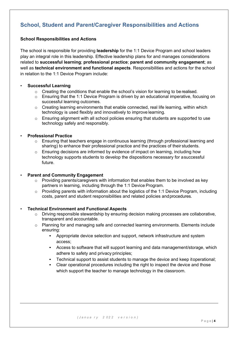#### **School, Student and Parent/Caregiver Responsibilities and Actions**

#### **School Responsibilities and Actions**

The school is responsible for providing **leadership** for the 1:1 Device Program and school leaders play an integral role in this leadership. Effective leadership plans for and manages considerations related to **successful learning**; **professional practice**; **parent and community engagement**; as well as **technical environment and functional aspects**. Responsibilities and actions for the school in relation to the 1:1 Device Program include:

#### • **Successful Learning**

- o Creating the conditions that enable the school's vision for learning to berealised.
- $\circ$  Ensuring that the 1:1 Device Program is driven by an educational imperative, focusing on successful learning outcomes.
- o Creating learning environments that enable connected, real life learning, within which technology is used flexibly and innovatively to improve learning.
- o Ensuring alignment with all school policies ensuring that students are supported to use technology safely and responsibly.

#### • **Professional Practice**

- $\circ$  Ensuring that teachers engage in continuous learning (through professional learning and sharing) to enhance their professional practice and the practices of their students.
- $\circ$  Ensuring decisions are informed by evidence of impact on learning, including how technology supports students to develop the dispositions necessary for asuccessful future.

#### • **Parent and Community Engagement**

- $\circ$  Providing parents/caregivers with information that enables them to be involved as key partners in learning, including through the 1:1 Device Program.
- $\circ$  Providing parents with information about the logistics of the 1:1 Device Program, including costs, parent and student responsibilities and related policies andprocedures.

#### • **Technical Environment and Functional Aspects**

- $\circ$  Driving responsible stewardship by ensuring decision making processes are collaborative, transparent and accountable.
- o Planning for and managing safe and connected learning environments. Elements include ensuring:
	- Appropriate device selection and support, network infrastructure and system access;
	- Access to software that will support learning and data management/storage, which adhere to safety and privacy principles;
	- Technical support to assist students to manage the device and keep itoperational;
	- Clear operational procedures including the right to inspect the device and those which support the teacher to manage technology in the classroom.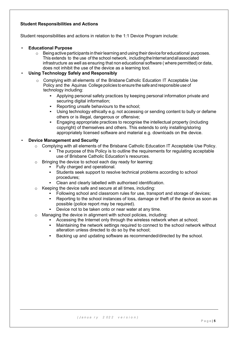#### **Student Responsibilities and Actions**

Student responsibilities and actions in relation to the 1:1 Device Program include:

- **Educational Purpose**
	- $\circ$  Being active participants in their learning and using their device for educational purposes. This extends to the use of the school network, including the Internet and all associated infrastructure as well as ensuring that non educational software ( where permitted) or data, does not inhibit the use of the device as a learning tool.

#### • **Using Technology Safely and Responsibly**

- $\circ$  Complying with all elements of the Brisbane Catholic Education IT Acceptable Use Policy and the Aquinas College policies to ensure the safe and responsible use of technology including:
	- Applying personal safety practices by keeping personal information private and securing digital information;
	- Reporting unsafe behaviours to the school:
	- Using technology ethically e.g. not accessing or sending content to bully or defame others or is illegal, dangerous or offensive;
	- Engaging appropriate practices to recognise the intellectual property (including copyright) of themselves and others. This extends to only installing/storing appropriately licensed software and material e.g. downloads on the device.

#### • **Device Management and Security**

- o Complying with all elements of the Brisbane Catholic Education IT Acceptable Use Policy.
	- The purpose of this Policy is to outline the requirements for regulating acceptable use of Brisbane Catholic Education's resources.
- $\circ$  Bringing the device to school each day ready for learning:
	- Fully charged and operational.
	- Students seek support to resolve technical problems according to school procedures;
	- Clean and clearly labelled with authorised identification.
- o Keeping the device safe and secure at all times, including:
	- Following school and classroom rules for use, transport and storage of devices;
		- Reporting to the school instances of loss, damage or theft of the device as soon as possible (police report may be required).
		- Device not to be taken onto or near water at any time.
- o Managing the device in alignment with school policies, including:
	- Accessing the Internet only through the wireless network when at school;
	- Maintaining the network settings required to connect to the school network without alteration unless directed to do so by the school;
	- Backing up and updating software as recommended/directed by the school.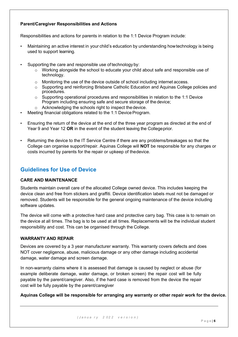#### **Parent/Caregiver Responsibilities and Actions**

Responsibilities and actions for parents in relation to the 1:1 Device Program include:

- Maintaining an active interest in your child's education by understanding howtechnology is being used to support learning.
- Supporting the care and responsible use of technology by:
	- $\circ$  Working alongside the school to educate your child about safe and responsible use of technology.
	- $\circ$  Monitoring the use of the device outside of school including internet access.
	- o Supporting and reinforcing Brisbane Catholic Education and Aquinas College policies and procedures.
	- $\circ$  Supporting operational procedures and responsibilities in relation to the 1:1 Device Program including ensuring safe and secure storage of the device;
	- o Acknowledging the schools right to inspect the device.
- Meeting financial obligations related to the 1:1 Device Program.
- Ensuring the return of the device at the end of the three year program as directed at the end of Year 9 and Year 12 **OR** in the event of the student leaving the Collegeprior.
- Returning the device to the IT Service Centre if there are any problems/breakages so that the College can organise support/repair. Aquinas College will **NOT** be responsible for any charges or costs incurred by parents for the repair or upkeep of thedevice.

#### **Guidelines for Use of Device**

#### **CARE AND MAINTENANCE**

Students maintain overall care of the allocated College owned device. This includes keeping the device clean and free from stickers and graffiti. Device identification labels must not be damaged or removed. Students will be responsible for the general ongoing maintenance of the device including software updates.

The device will come with a protective hard case and protective carry bag. This case is to remain on the device at all times. The bag is to be used at all times. Replacements will be the individual student responsibility and cost. This can be organised through the College.

#### **WARRANTY AND REPAIR**

Devices are covered by a 3 year manufacturer warranty. This warranty covers defects and does NOT cover negligence, abuse, malicious damage or any other damage including accidental damage, water damage and screen damage.

In non-warranty claims where it is assessed that damage is caused by neglect or abuse (for example deliberate damage, water damage, or broken screen) the repair cost will be fully payable by the parent/caregiver. Also, if the hard case is removed from the device the repair cost will be fully payable by the parent/caregiver

#### **Aquinas College will be responsible for arranging any warranty or other repair work for the device.**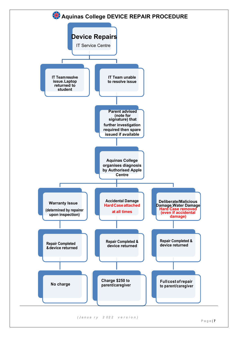

*( J a n u a r y 2 0 2 2 v e r s i o n )*